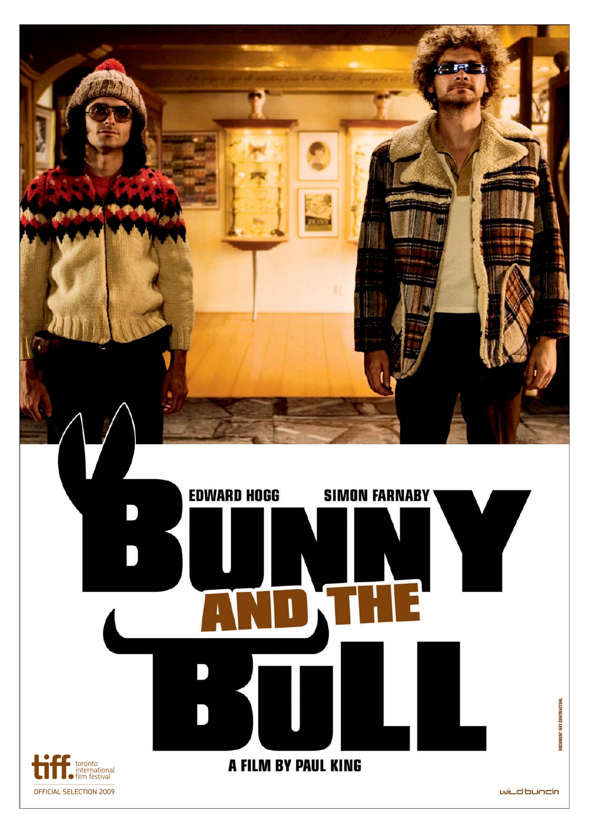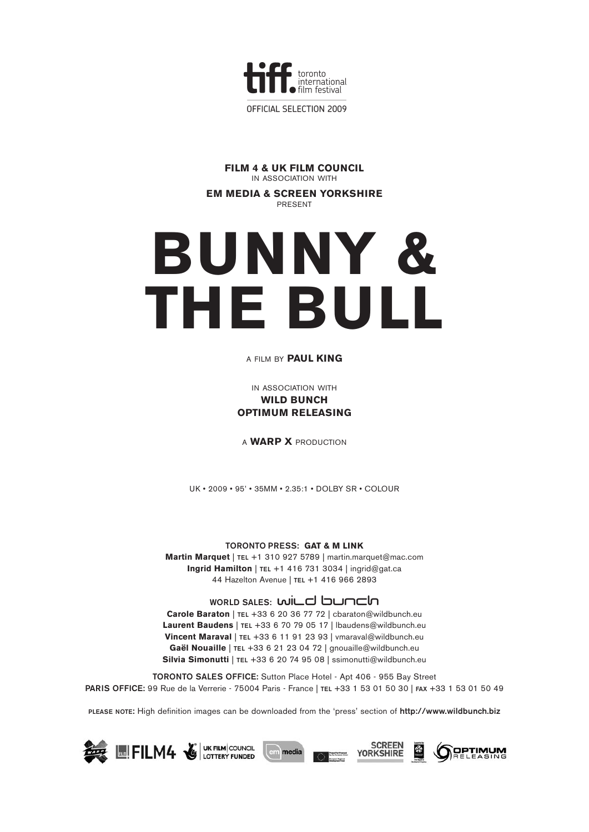

**FILM 4 & UK FILM COUNCIL** IN ASSOCIATION WITH

**EM MEDIA & SCREEN YORKSHIRE PDESENT** 

# **BUNNY & THE BULL**

#### A FILM BY **PAUL KING**

IN ASSOCIATION WITH **WILD BUNCH OPTIMUM RELEASING**

A **WARP X** PRODUCTION

UK • 2009 • 95' • 35MM • 2.35:1 • DOLBY SR • COLOUR

#### **TORONTO PRESS: GAT & M LINK**

**Martin Marquet** | **TEL** +1 310 927 5789 | martin.marquet@mac.com **Ingrid Hamilton** | **TEL** +1 416 731 3034 | ingrid@gat.ca 44 Hazelton Avenue | **TEL** +1 416 966 2893

### WORLD SALES: **WILC bunch**

**Carole Baraton** | **TEL** +33 6 20 36 77 72 | cbaraton@wildbunch.eu **Laurent Baudens** | **TEL** +33 6 70 79 05 17 | lbaudens@wildbunch.eu **Vincent Maraval** | **TEL** +33 6 11 91 23 93 | vmaraval@wildbunch.eu **Gaël Nouaille** | **TEL** +33 6 21 23 04 72 | gnouaille@wildbunch.eu **Silvia Simonutti** | **TEL** +33 6 20 74 95 08 | ssimonutti@wildbunch.eu

**TORONTO SALES OFFICE:** Sutton Place Hotel - Apt 406 - 955 Bay Street **PARIS OFFICE:** 99 Rue de la Verrerie - 75004 Paris - France | **TEL** +33 1 53 01 50 30 | **FAX** +33 1 53 01 50 49

**PLEASE NOTE:** High definition images can be downloaded from the 'press' section of **http://www.wildbunch.biz**

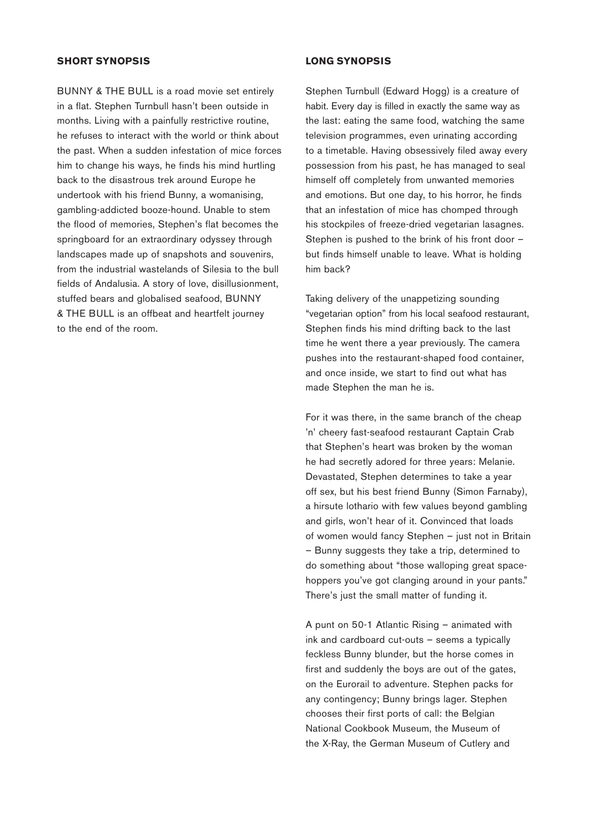#### **SHORT SYNOPSIS**

BUNNY & THE BULL is a road movie set entirely in a flat. Stephen Turnbull hasn't been outside in months. Living with a painfully restrictive routine, he refuses to interact with the world or think about the past. When a sudden infestation of mice forces him to change his ways, he finds his mind hurtling back to the disastrous trek around Europe he undertook with his friend Bunny, a womanising, gambling-addicted booze-hound. Unable to stem the flood of memories, Stephen's flat becomes the springboard for an extraordinary odyssey through landscapes made up of snapshots and souvenirs, from the industrial wastelands of Silesia to the bull fields of Andalusia. A story of love, disillusionment, stuffed bears and globalised seafood, BUNNY & THE BULL is an offbeat and heartfelt journey to the end of the room.

#### **LONG SYNOPSIS**

Stephen Turnbull (Edward Hogg) is a creature of habit. Every day is filled in exactly the same way as the last: eating the same food, watching the same television programmes, even urinating according to a timetable. Having obsessively filed away every possession from his past, he has managed to seal himself off completely from unwanted memories and emotions. But one day, to his horror, he finds that an infestation of mice has chomped through his stockpiles of freeze-dried vegetarian lasagnes. Stephen is pushed to the brink of his front door – but finds himself unable to leave. What is holding him back?

Taking delivery of the unappetizing sounding "vegetarian option" from his local seafood restaurant, Stephen finds his mind drifting back to the last time he went there a year previously. The camera pushes into the restaurant-shaped food container, and once inside, we start to find out what has made Stephen the man he is.

For it was there, in the same branch of the cheap 'n' cheery fast-seafood restaurant Captain Crab that Stephen's heart was broken by the woman he had secretly adored for three years: Melanie. Devastated, Stephen determines to take a year off sex, but his best friend Bunny (Simon Farnaby), a hirsute lothario with few values beyond gambling and girls, won't hear of it. Convinced that loads of women would fancy Stephen – just not in Britain – Bunny suggests they take a trip, determined to do something about "those walloping great spacehoppers you've got clanging around in your pants." There's just the small matter of funding it.

A punt on 50-1 Atlantic Rising – animated with ink and cardboard cut-outs – seems a typically feckless Bunny blunder, but the horse comes in first and suddenly the boys are out of the gates, on the Eurorail to adventure. Stephen packs for any contingency; Bunny brings lager. Stephen chooses their first ports of call: the Belgian National Cookbook Museum, the Museum of the X-Ray, the German Museum of Cutlery and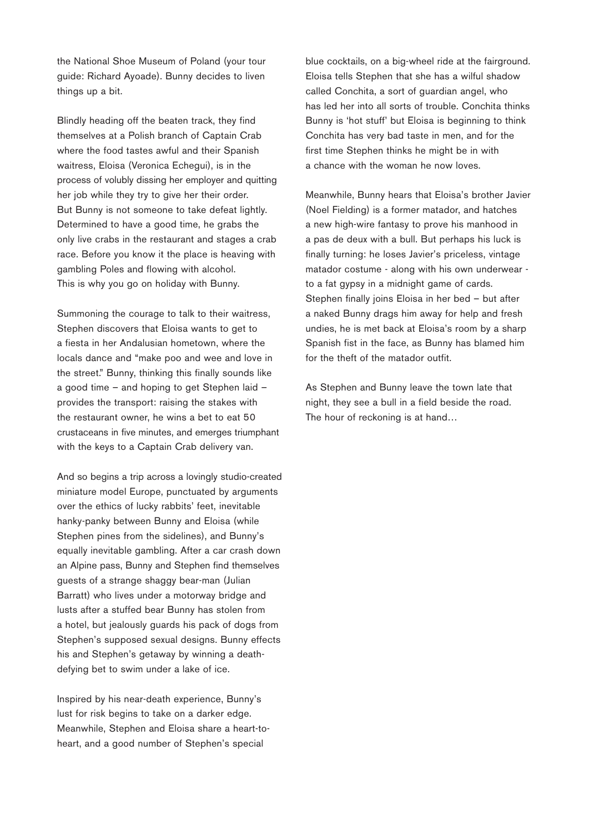the National Shoe Museum of Poland (your tour guide: Richard Ayoade). Bunny decides to liven things up a bit.

Blindly heading off the beaten track, they find themselves at a Polish branch of Captain Crab where the food tastes awful and their Spanish waitress, Eloisa (Veronica Echegui), is in the process of volubly dissing her employer and quitting her job while they try to give her their order. But Bunny is not someone to take defeat lightly. Determined to have a good time, he grabs the only live crabs in the restaurant and stages a crab race. Before you know it the place is heaving with gambling Poles and flowing with alcohol. This is why you go on holiday with Bunny.

Summoning the courage to talk to their waitress, Stephen discovers that Eloisa wants to get to a fiesta in her Andalusian hometown, where the locals dance and "make poo and wee and love in the street." Bunny, thinking this finally sounds like a good time – and hoping to get Stephen laid – provides the transport: raising the stakes with the restaurant owner, he wins a bet to eat 50 crustaceans in five minutes, and emerges triumphant with the keys to a Captain Crab delivery van.

And so begins a trip across a lovingly studio-created miniature model Europe, punctuated by arguments over the ethics of lucky rabbits' feet, inevitable hanky-panky between Bunny and Eloisa (while Stephen pines from the sidelines), and Bunny's equally inevitable gambling. After a car crash down an Alpine pass, Bunny and Stephen find themselves guests of a strange shaggy bear-man (Julian Barratt) who lives under a motorway bridge and lusts after a stuffed bear Bunny has stolen from a hotel, but jealously guards his pack of dogs from Stephen's supposed sexual designs. Bunny effects his and Stephen's getaway by winning a deathdefying bet to swim under a lake of ice.

Inspired by his near-death experience, Bunny's lust for risk begins to take on a darker edge. Meanwhile, Stephen and Eloisa share a heart-toheart, and a good number of Stephen's special

blue cocktails, on a big-wheel ride at the fairground. Eloisa tells Stephen that she has a wilful shadow called Conchita, a sort of guardian angel, who has led her into all sorts of trouble. Conchita thinks Bunny is 'hot stuff' but Eloisa is beginning to think Conchita has very bad taste in men, and for the first time Stephen thinks he might be in with a chance with the woman he now loves.

Meanwhile, Bunny hears that Eloisa's brother Javier (Noel Fielding) is a former matador, and hatches a new high-wire fantasy to prove his manhood in a pas de deux with a bull. But perhaps his luck is finally turning: he loses Javier's priceless, vintage matador costume - along with his own underwear to a fat gypsy in a midnight game of cards. Stephen finally joins Eloisa in her bed – but after a naked Bunny drags him away for help and fresh undies, he is met back at Eloisa's room by a sharp Spanish fist in the face, as Bunny has blamed him for the theft of the matador outfit.

As Stephen and Bunny leave the town late that night, they see a bull in a field beside the road. The hour of reckoning is at hand…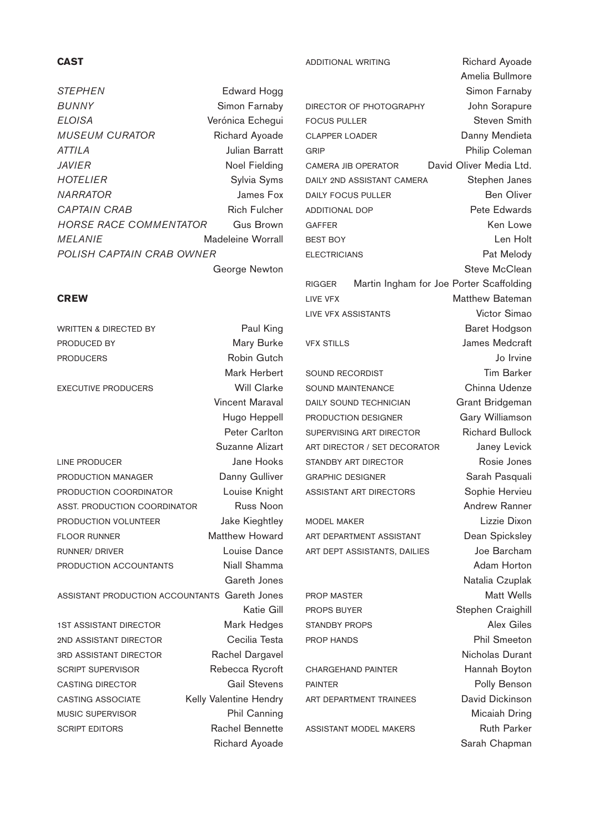# **CAST**

*STEPHEN* Edward Hogg *BUNNY* Simon Farnaby *ELOISA* Verónica Echegui **MUSEUM CURATOR** Richard Ayoade *ATTILA* Julian Barratt *JAVIER* Noel Fielding *HOTELIER* Sylvia Syms *NARRATOR* James Fox CAPTAIN CRAB Rich Fulcher *HORSE RACE COMMENTATOR* Gus Brown *MELANIE* Madeleine Worrall *POLISH CAPTAIN CRAB OWNER*  George Newton

#### **CREW**

WRITTEN & DIRECTED BY Paul King PRODUCED BY Mary Burke PRODUCERS Robin Gutch Mark Herbert EXECUTIVE PRODUCERS Will Clarke Vincent Maraval Hugo Heppell Peter Carlton Suzanne Alizart LINE PRODUCER Jane Hooks **PRODUCTION MANAGER** Danny Gulliver PRODUCTION COORDINATOR Louise Knight ASST. PRODUCTION COORDINATOR Russ Noon PRODUCTION VOLUNTEER Jake Kieghtley FLOOR RUNNER Matthew Howard RUNNER/ DRIVER **Louise Dance** PRODUCTION ACCOUNTANTS Niall Shamma Gareth Jones ASSISTANT PRODUCTION ACCOUNTANTS Gareth Jones Katie Gill 1ST ASSISTANT DIRECTOR Mark Hedges 2ND ASSISTANT DIRECTOR Cecilia Testa 3RD ASSISTANT DIRECTOR Rachel Dargavel SCRIPT SUPERVISOR Rebecca Rycroft CASTING DIRECTOR Gail Stevens CASTING ASSOCIATE Kelly Valentine Hendry MUSIC SUPERVISOR Phil Canning SCRIPT EDITORS Rachel Bennette Richard Ayoade

DIRECTOR OF PHOTOGRAPHY John Sorapure FOCUS PULLER Steven Smith CLAPPER LOADER Danny Mendieta GRIP **GRIP Philip Coleman** CAMERA JIB OPERATOR David Oliver Media Ltd. DAILY 2ND ASSISTANT CAMERA Stephen Janes DAILY FOCUS PULLER Ben Oliver ADDITIONAL DOP Pete Edwards GAFFER Ken Lowe BEST BOY **Len Holt** ELECTRICIANS Pat Melody

RIGGER Martin Ingham for Joe Porter Scaffolding LIVE VFX **Matthew Bateman** LIVE VFX ASSISTANTS Victor Simao

SOUND RECORDIST **Tim Barker** SOUND MAINTENANCE Chinna Udenze DAILY SOUND TECHNICIAN Grant Bridgeman **PRODUCTION DESIGNER** Gary Williamson SUPERVISING ART DIRECTOR Richard Bullock ART DIRECTOR / SET DECORATOR Janey Levick STANDBY ART DIRECTOR Rosie Jones GRAPHIC DESIGNER Sarah Pasquali ASSISTANT ART DIRECTORS Sophie Hervieu

MODEL MAKER Lizzie Dixon ART DEPARTMENT ASSISTANT Dean Spicksley ART DEPT ASSISTANTS, DAILIES Joe Barcham

CHARGEHAND PAINTER Hannah Boyton PAINTER PAINTER POILY Benson ART DEPARTMENT TRAINEES David Dickinson

ADDITIONAL WRITING Richard Ayoade Amelia Bullmore Simon Farnaby Steve McClean Baret Hodgson VFX STILLS James Medcraft Jo Irvine Andrew Ranner Adam Horton Natalia Czuplak PROP MASTER Matt Wells PROPS BUYER Stephen Craighill STANDBY PROPS Alex Giles PROP HANDS PROP HANDS Nicholas Durant Micaiah Dring ASSISTANT MODEL MAKERS Ruth Parker

Sarah Chapman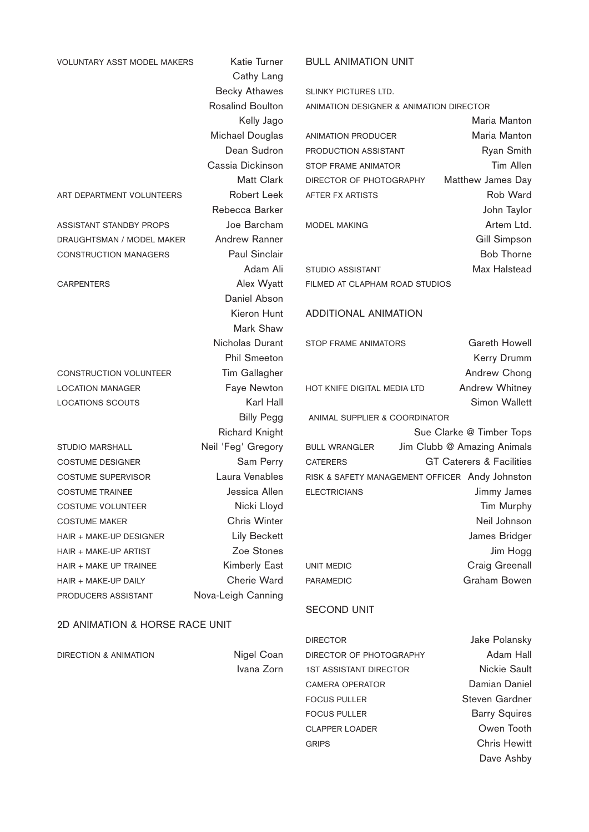| <b>VOLUNTARY ASST MODEL MAKERS</b> | Katie Turner            | <b>BULL ANIMATION UNIT</b>                     |                                     |
|------------------------------------|-------------------------|------------------------------------------------|-------------------------------------|
|                                    | Cathy Lang              |                                                |                                     |
|                                    | <b>Becky Athawes</b>    | <b>SLINKY PICTURES LTD.</b>                    |                                     |
|                                    | <b>Rosalind Boulton</b> | ANIMATION DESIGNER & ANIMATION DIRECTOR        |                                     |
|                                    | Kelly Jago              |                                                | Maria Manton                        |
|                                    | Michael Douglas         | <b>ANIMATION PRODUCER</b>                      | Maria Manton                        |
|                                    | Dean Sudron             | PRODUCTION ASSISTANT                           | Ryan Smith                          |
|                                    | Cassia Dickinson        | <b>STOP FRAME ANIMATOR</b>                     | Tim Allen                           |
|                                    | Matt Clark              | DIRECTOR OF PHOTOGRAPHY                        | Matthew James Day                   |
| ART DEPARTMENT VOLUNTEERS          | <b>Robert Leek</b>      | AFTER FX ARTISTS                               | Rob Ward                            |
|                                    | Rebecca Barker          |                                                | John Taylor                         |
| ASSISTANT STANDBY PROPS            | Joe Barcham             | <b>MODEL MAKING</b>                            | Artem Ltd.                          |
| DRAUGHTSMAN / MODEL MAKER          | <b>Andrew Ranner</b>    |                                                | Gill Simpson                        |
| <b>CONSTRUCTION MANAGERS</b>       | <b>Paul Sinclair</b>    |                                                | <b>Bob Thorne</b>                   |
|                                    | Adam Ali                | <b>STUDIO ASSISTANT</b>                        | Max Halstead                        |
| <b>CARPENTERS</b>                  | Alex Wyatt              | FILMED AT CLAPHAM ROAD STUDIOS                 |                                     |
|                                    | Daniel Abson            |                                                |                                     |
|                                    | Kieron Hunt             | <b>ADDITIONAL ANIMATION</b>                    |                                     |
|                                    | Mark Shaw               |                                                |                                     |
|                                    | Nicholas Durant         | STOP FRAME ANIMATORS                           | Gareth Howell                       |
|                                    | <b>Phil Smeeton</b>     |                                                | Kerry Drumm                         |
| <b>CONSTRUCTION VOLUNTEER</b>      | Tim Gallagher           |                                                | Andrew Chong                        |
| <b>LOCATION MANAGER</b>            | Faye Newton             | HOT KNIFE DIGITAL MEDIA LTD                    | Andrew Whitney                      |
| <b>LOCATIONS SCOUTS</b>            | Karl Hall               |                                                | Simon Wallett                       |
|                                    | <b>Billy Pegg</b>       | ANIMAL SUPPLIER & COORDINATOR                  |                                     |
|                                    | <b>Richard Knight</b>   |                                                | Sue Clarke @ Timber Tops            |
| <b>STUDIO MARSHALL</b>             | Neil 'Feg' Gregory      | <b>BULL WRANGLER</b>                           | Jim Clubb @ Amazing Animals         |
| <b>COSTUME DESIGNER</b>            | Sam Perry               | <b>CATERERS</b>                                | <b>GT Caterers &amp; Facilities</b> |
| <b>COSTUME SUPERVISOR</b>          | Laura Venables          | RISK & SAFETY MANAGEMENT OFFICER Andy Johnston |                                     |
| <b>COSTUME TRAINEE</b>             | Jessica Allen           | <b>ELECTRICIANS</b>                            | Jimmy James                         |
| <b>COSTUME VOLUNTEER</b>           | Nicki Lloyd             |                                                | Tim Murphy                          |
| <b>COSTUME MAKER</b>               | Chris Winter            |                                                | Neil Johnson                        |
| HAIR + MAKE-UP DESIGNER            | <b>Lily Beckett</b>     |                                                | James Bridger                       |
| HAIR + MAKE-UP ARTIST              | Zoe Stones              |                                                | Jim Hogg                            |
| HAIR + MAKE UP TRAINEE             | <b>Kimberly East</b>    | UNIT MEDIC                                     | Craig Greenall                      |
| HAIR + MAKE-UP DAILY               | Cherie Ward             | <b>PARAMEDIC</b>                               | Graham Bowen                        |
| PRODUCERS ASSISTANT                | Nova-Leigh Canning      |                                                |                                     |
|                                    |                         | <b>SECOND UNIT</b>                             |                                     |

# 2D ANIMATION & HORSE RACE UNIT

| DIRECTION & ANIMATION | Nigel Coan |
|-----------------------|------------|
|                       | Ivana Zorn |

DIRECTOR Jake Polansky DIRECTOR OF PHOTOGRAPHY Adam Hall 1ST ASSISTANT DIRECTOR Nickie Sault CAMERA OPERATOR Damian Daniel FOCUS PULLER Steven Gardner FOCUS PULLER Barry Squires CLAPPER LOADER **Owen** Tooth GRIPS Chris Hewitt

Dave Ashby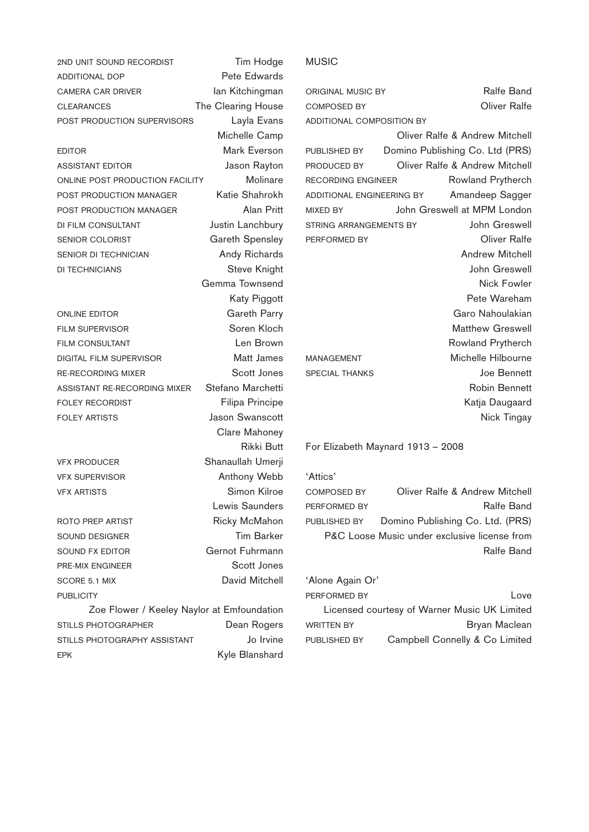| 2ND UNIT SOUND RECORDIST                   | Tim Hodge              |
|--------------------------------------------|------------------------|
| <b>ADDITIONAL DOP</b>                      | Pete Edwards           |
| <b>CAMERA CAR DRIVER</b>                   | lan Kitchingman        |
| <b>CLEARANCES</b>                          | The Clearing House     |
| POST PRODUCTION SUPERVISORS                | Layla Evans            |
|                                            | Michelle Camp          |
| <b>EDITOR</b>                              | Mark Everson           |
| <b>ASSISTANT EDITOR</b>                    | Jason Rayton           |
| ONLINE POST PRODUCTION FACILITY            | Molinare               |
| POST PRODUCTION MANAGER                    | Katie Shahrokh         |
| POST PRODUCTION MANAGER                    | Alan Pritt             |
| <b>DI FILM CONSULTANT</b>                  | Justin Lanchbury       |
| <b>SENIOR COLORIST</b>                     | <b>Gareth Spensley</b> |
| SENIOR DI TECHNICIAN                       | <b>Andy Richards</b>   |
| <b>DI TECHNICIANS</b>                      | Steve Knight           |
|                                            | Gemma Townsend         |
|                                            | Katy Piggott           |
| <b>ONLINE EDITOR</b>                       | Gareth Parry           |
| <b>FILM SUPERVISOR</b>                     | Soren Kloch            |
| <b>FILM CONSULTANT</b>                     | Len Brown              |
| DIGITAL FILM SUPERVISOR                    | Matt James             |
| <b>RE-RECORDING MIXER</b>                  | Scott Jones            |
| ASSISTANT RE-RECORDING MIXER               | Stefano Marchetti      |
| <b>FOLEY RECORDIST</b>                     | Filipa Principe        |
| <b>FOLEY ARTISTS</b>                       | <b>Jason Swanscott</b> |
|                                            | Clare Mahoney          |
|                                            | Rikki Butt             |
| <b>VFX PRODUCER</b>                        | Shanaullah Umerji      |
| <b>VFX SUPERVISOR</b>                      | Anthony Webb           |
| <b>VFX ARTISTS</b>                         | Simon Kilroe           |
|                                            | Lewis Saunders         |
| ROTO PREP ARTIST                           | <b>Ricky McMahon</b>   |
| <b>SOUND DESIGNER</b>                      | <b>Tim Barker</b>      |
| SOUND FX EDITOR                            | Gernot Fuhrmann        |
| <b>PRE-MIX ENGINEER</b>                    | Scott Jones            |
| <b>SCORE 5.1 MIX</b>                       | David Mitchell         |
| <b>PUBLICITY</b>                           |                        |
| Zoe Flower / Keeley Naylor at Emfoundation |                        |
| <b>STILLS PHOTOGRAPHER</b>                 | Dean Rogers            |
| STILLS PHOTOGRAPHY ASSISTANT               | Jo Irvine              |
| EPK                                        | Kyle Blanshard         |

# MUSIC

| ORIGINAL MUSIC BY                | Ralfe Band                      |
|----------------------------------|---------------------------------|
| <b>COMPOSED BY</b>               | Oliver Ralfe                    |
| <b>ADDITIONAL COMPOSITION BY</b> |                                 |
|                                  | Oliver Ralfe & Andrew Mitchell  |
| PUBLISHED BY                     | Domino Publishing Co. Ltd (PRS) |
| PRODUCED BY                      | Oliver Ralfe & Andrew Mitchell  |
| RECORDING ENGINEER               | Rowland Prytherch               |
| ADDITIONAL ENGINEERING BY        | Amandeep Sagger                 |
| <b>MIXED BY</b>                  | John Greswell at MPM London     |
| STRING ARRANGEMENTS BY           | John Greswell                   |
| PERFORMED BY                     | Oliver Ralfe                    |
|                                  | <b>Andrew Mitchell</b>          |
|                                  | John Greswell                   |
|                                  | Nick Fowler                     |
|                                  | Pete Wareham                    |
|                                  | Garo Nahoulakian                |
|                                  | <b>Matthew Greswell</b>         |
|                                  | Rowland Prytherch               |
| <b>MANAGEMENT</b>                | Michelle Hilbourne              |
| <b>SPECIAL THANKS</b>            | <b>Joe Bennett</b>              |
|                                  | <b>Robin Bennett</b>            |
|                                  | Katja Daugaard                  |
|                                  | Nick Tingay                     |

For Elizabeth Maynard 1913 – 2008

'Attics' COMPOSED BY Oliver Ralfe & Andrew Mitchell PERFORMED BY **Ralfe Band** PUBLISHED BY Domino Publishing Co. Ltd. (PRS) P&C Loose Music under exclusive license from Ralfe Band

| 'Alone Again Or'  |                                              |
|-------------------|----------------------------------------------|
| PERFORMED BY      | Love                                         |
|                   | Licensed courtesy of Warner Music UK Limited |
| <b>WRITTEN BY</b> | Bryan Maclean                                |
| PUBLISHED BY      | Campbell Connelly & Co Limited               |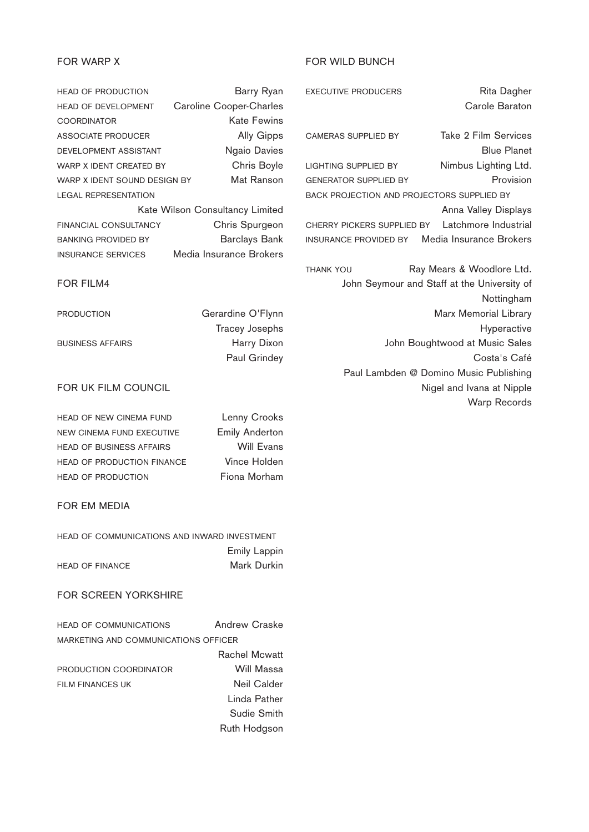# FOR WARP X

HEAD OF PRODUCTION Barry Ryan HEAD OF DEVELOPMENT Caroline Cooper-Charles COORDINATOR Kate Fewins ASSOCIATE PRODUCER Ally Gipps DEVELOPMENT ASSISTANT Ngaio Davies WARP X IDENT CREATED BY Chris Boyle WARP X IDENT SOUND DESIGN BY Mat Ranson LEGAL REPRESENTATION Kate Wilson Consultancy Limited FINANCIAL CONSULTANCY Chris Spurgeon BANKING PROVIDED BY **Band Band Bank** INSURANCE SERVICES Media Insurance Brokers

#### FOR FILM4

PRODUCTION Gerardine O'Flynn Tracey Josephs BUSINESS AFFAIRS **Harry Dixon** Paul Grindey

# FOR UK FILM COUNCIL

| <b>HEAD OF NEW CINEMA FUND</b>  | Lenny Crooks          |
|---------------------------------|-----------------------|
| NEW CINEMA FUND EXECUTIVE       | <b>Emily Anderton</b> |
| <b>HEAD OF BUSINESS AFFAIRS</b> | Will Evans            |
| HEAD OF PRODUCTION FINANCE      | Vince Holden          |
| <b>HEAD OF PRODUCTION</b>       | Fiona Morham          |

# FOR EM MEDIA

| HEAD OF COMMUNICATIONS AND INWARD INVESTMENT |                     |
|----------------------------------------------|---------------------|
|                                              | <b>Emily Lappin</b> |
| <b>HEAD OF FINANCE</b>                       | Mark Durkin         |
|                                              |                     |

# FOR SCREEN YORKSHIRE

| <b>HEAD OF COMMUNICATIONS</b>        | Andrew Craske        |
|--------------------------------------|----------------------|
| MARKETING AND COMMUNICATIONS OFFICER |                      |
|                                      | <b>Rachel Mcwatt</b> |
| PRODUCTION COORDINATOR               | Will Massa           |
| <b>FILM FINANCES UK</b>              | Neil Calder          |
|                                      | Linda Pather         |
|                                      | Sudie Smith          |
|                                      | Ruth Hodgson         |

# FOR WILD BUNCH

| <b>EXECUTIVE PRODUCERS</b>                           | Rita Dagher                            |
|------------------------------------------------------|----------------------------------------|
|                                                      | Carole Baraton                         |
|                                                      |                                        |
| <b>CAMERAS SUPPLIED BY</b>                           | <b>Take 2 Film Services</b>            |
|                                                      | <b>Blue Planet</b>                     |
| <b>LIGHTING SUPPLIED BY</b>                          | Nimbus Lighting Ltd.                   |
| <b>GENERATOR SUPPLIED BY</b>                         | Provision                              |
| <b>BACK PROJECTION AND PROJECTORS SUPPLIED BY</b>    |                                        |
|                                                      | Anna Valley Displays                   |
| CHERRY PICKERS SUPPLIED BY Latchmore Industrial      |                                        |
| <b>INSURANCE PROVIDED BY</b> Media Insurance Brokers |                                        |
|                                                      |                                        |
| <b>THANK YOU</b>                                     | Ray Mears & Woodlore Ltd.              |
| John Seymour and Staff at the University of          |                                        |
|                                                      | Nottingham                             |
|                                                      | Marx Memorial Library                  |
|                                                      | Hyperactive                            |
|                                                      | John Boughtwood at Music Sales         |
|                                                      | Costa's Café                           |
|                                                      | Paul Lambden @ Domino Music Publishing |
|                                                      | Nigel and Ivana at Nipple              |

Warp Records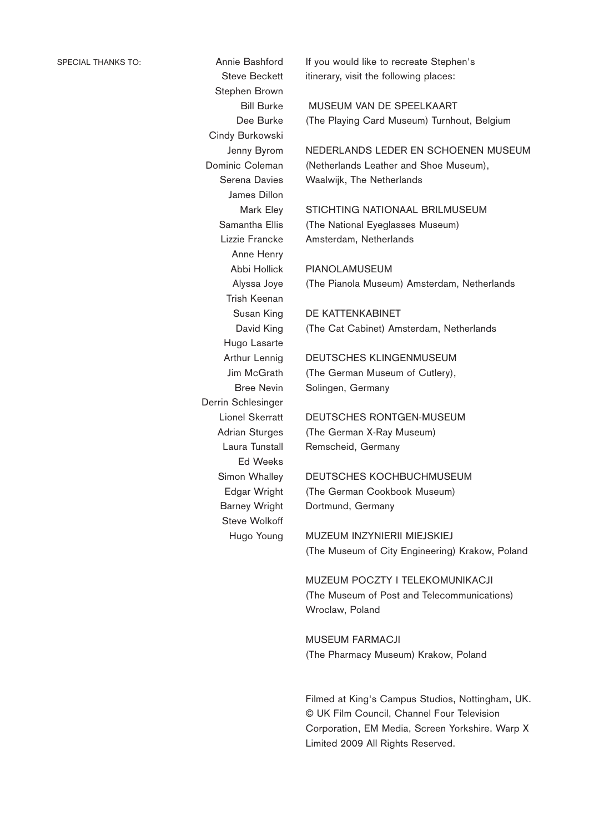Steve Beckett Stephen Brown Bill Burke Dee Burke Cindy Burkowski Jenny Byrom Dominic Coleman Serena Davies James Dillon Mark Eley Samantha Ellis Lizzie Francke Anne Henry Abbi Hollick Alyssa Joye Trish Keenan Susan King David King Hugo Lasarte Arthur Lennig Jim McGrath Bree Nevin Derrin Schlesinger Lionel Skerratt Adrian Sturges Laura Tunstall Ed Weeks Simon Whalley Edgar Wright Barney Wright Steve Wolkoff Hugo Young

If you would like to recreate Stephen's itinerary, visit the following places:

MUSEUM VAN DE SPEELKAART (The Playing Card Museum) Turnhout, Belgium

NEDERLANDS LEDER EN SCHOENEN MUSEUM (Netherlands Leather and Shoe Museum), Waalwijk, The Netherlands

STICHTING NATIONAAL BRILMUSEUM (The National Eyeglasses Museum) Amsterdam, Netherlands

PIANOLAMUSEUM (The Pianola Museum) Amsterdam, Netherlands

DE KATTENKABINET (The Cat Cabinet) Amsterdam, Netherlands

DEUTSCHES KLINGENMUSEUM (The German Museum of Cutlery), Solingen, Germany

DEUTSCHES RONTGEN-MUSEUM (The German X-Ray Museum) Remscheid, Germany

DEUTSCHES KOCHBUCHMUSEUM (The German Cookbook Museum) Dortmund, Germany

MUZEUM INZYNIERII MIEJSKIEJ (The Museum of City Engineering) Krakow, Poland

MUZEUM POCZTY I TELEKOMUNIKACJI (The Museum of Post and Telecommunications) Wroclaw, Poland

MUSEUM FARMACJI (The Pharmacy Museum) Krakow, Poland

Filmed at King's Campus Studios, Nottingham, UK. © UK Film Council, Channel Four Television Corporation, EM Media, Screen Yorkshire. Warp X Limited 2009 All Rights Reserved.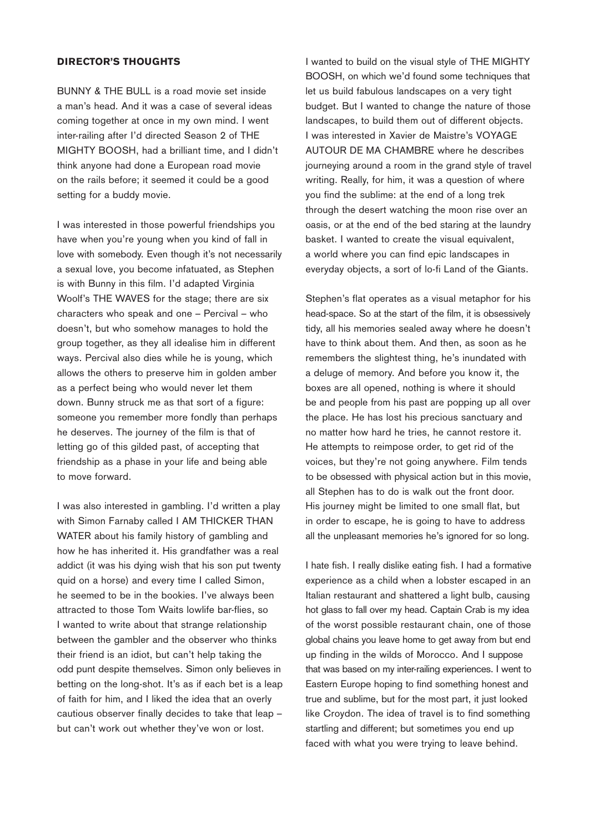#### **DIRECTOR'S THOUGHTS**

BUNNY & THE BULL is a road movie set inside a man's head. And it was a case of several ideas coming together at once in my own mind. I went inter-railing after I'd directed Season 2 of THE MIGHTY BOOSH, had a brilliant time, and I didn't think anyone had done a European road movie on the rails before; it seemed it could be a good setting for a buddy movie.

I was interested in those powerful friendships you have when you're young when you kind of fall in love with somebody. Even though it's not necessarily a sexual love, you become infatuated, as Stephen is with Bunny in this film. I'd adapted Virginia Woolf's THE WAVES for the stage; there are six characters who speak and one – Percival – who doesn't, but who somehow manages to hold the group together, as they all idealise him in different ways. Percival also dies while he is young, which allows the others to preserve him in golden amber as a perfect being who would never let them down. Bunny struck me as that sort of a figure: someone you remember more fondly than perhaps he deserves. The journey of the film is that of letting go of this gilded past, of accepting that friendship as a phase in your life and being able to move forward.

I was also interested in gambling. I'd written a play with Simon Farnaby called I AM THICKER THAN WATER about his family history of gambling and how he has inherited it. His grandfather was a real addict (it was his dying wish that his son put twenty quid on a horse) and every time I called Simon, he seemed to be in the bookies. I've always been attracted to those Tom Waits lowlife bar-flies, so I wanted to write about that strange relationship between the gambler and the observer who thinks their friend is an idiot, but can't help taking the odd punt despite themselves. Simon only believes in betting on the long-shot. It's as if each bet is a leap of faith for him, and I liked the idea that an overly cautious observer finally decides to take that leap – but can't work out whether they've won or lost.

I wanted to build on the visual style of THE MIGHTY BOOSH, on which we'd found some techniques that let us build fabulous landscapes on a very tight budget. But I wanted to change the nature of those landscapes, to build them out of different objects. I was interested in Xavier de Maistre's VOYAGE AUTOUR DE MA CHAMBRE where he describes journeying around a room in the grand style of travel writing. Really, for him, it was a question of where you find the sublime: at the end of a long trek through the desert watching the moon rise over an oasis, or at the end of the bed staring at the laundry basket. I wanted to create the visual equivalent, a world where you can find epic landscapes in everyday objects, a sort of lo-fi Land of the Giants.

Stephen's flat operates as a visual metaphor for his head-space. So at the start of the film, it is obsessively tidy, all his memories sealed away where he doesn't have to think about them. And then, as soon as he remembers the slightest thing, he's inundated with a deluge of memory. And before you know it, the boxes are all opened, nothing is where it should be and people from his past are popping up all over the place. He has lost his precious sanctuary and no matter how hard he tries, he cannot restore it. He attempts to reimpose order, to get rid of the voices, but they're not going anywhere. Film tends to be obsessed with physical action but in this movie, all Stephen has to do is walk out the front door. His journey might be limited to one small flat, but in order to escape, he is going to have to address all the unpleasant memories he's ignored for so long.

I hate fish. I really dislike eating fish. I had a formative experience as a child when a lobster escaped in an Italian restaurant and shattered a light bulb, causing hot glass to fall over my head. Captain Crab is my idea of the worst possible restaurant chain, one of those global chains you leave home to get away from but end up finding in the wilds of Morocco. And I suppose that was based on my inter-railing experiences. I went to Eastern Europe hoping to find something honest and true and sublime, but for the most part, it just looked like Croydon. The idea of travel is to find something startling and different; but sometimes you end up faced with what you were trying to leave behind.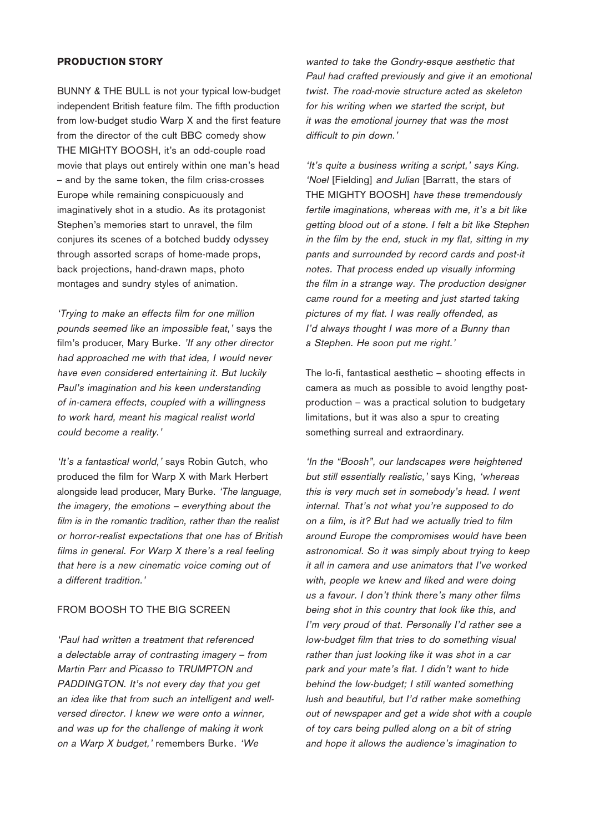#### **PRODUCTION STORY**

BUNNY & THE BULL is not your typical low-budget independent British feature film. The fifth production from low-budget studio Warp X and the first feature from the director of the cult BBC comedy show THE MIGHTY BOOSH, it's an odd-couple road movie that plays out entirely within one man's head – and by the same token, the film criss-crosses Europe while remaining conspicuously and imaginatively shot in a studio. As its protagonist Stephen's memories start to unravel, the film conjures its scenes of a botched buddy odyssey through assorted scraps of home-made props, back projections, hand-drawn maps, photo montages and sundry styles of animation.

'Trying to make an effects film for one million pounds seemed like an impossible feat,' says the film's producer, Mary Burke. 'If any other director had approached me with that idea, I would never have even considered entertaining it. But luckily Paul's imagination and his keen understanding of in-camera effects, coupled with a willingness to work hard, meant his magical realist world could become a reality.'

'It's a fantastical world,' says Robin Gutch, who produced the film for Warp X with Mark Herbert alongside lead producer, Mary Burke. 'The language, the imagery, the emotions – everything about the film is in the romantic tradition, rather than the realist or horror-realist expectations that one has of British films in general. For Warp X there's a real feeling that here is a new cinematic voice coming out of a different tradition.'

#### FROM BOOSH TO THE BIG SCREEN

'Paul had written a treatment that referenced a delectable array of contrasting imagery – from Martin Parr and Picasso to TRUMPTON and PADDINGTON. It's not every day that you get an idea like that from such an intelligent and wellversed director. I knew we were onto a winner, and was up for the challenge of making it work on a Warp X budget,' remembers Burke. 'We

wanted to take the Gondry-esque aesthetic that Paul had crafted previously and give it an emotional twist. The road-movie structure acted as skeleton for his writing when we started the script, but it was the emotional journey that was the most difficult to pin down.'

'It's quite a business writing a script,' says King. 'Noel [Fielding] and Julian [Barratt, the stars of THE MIGHTY BOOSH] have these tremendously fertile imaginations, whereas with me, it's a bit like getting blood out of a stone. I felt a bit like Stephen in the film by the end, stuck in my flat, sitting in my pants and surrounded by record cards and post-it notes. That process ended up visually informing the film in a strange way. The production designer came round for a meeting and just started taking pictures of my flat. I was really offended, as I'd always thought I was more of a Bunny than a Stephen. He soon put me right.'

The lo-fi, fantastical aesthetic – shooting effects in camera as much as possible to avoid lengthy postproduction – was a practical solution to budgetary limitations, but it was also a spur to creating something surreal and extraordinary.

'In the "Boosh", our landscapes were heightened but still essentially realistic,' says King, 'whereas this is very much set in somebody's head. I went internal. That's not what you're supposed to do on a film, is it? But had we actually tried to film around Europe the compromises would have been astronomical. So it was simply about trying to keep it all in camera and use animators that I've worked with, people we knew and liked and were doing us a favour. I don't think there's many other films being shot in this country that look like this, and I'm very proud of that. Personally I'd rather see a low-budget film that tries to do something visual rather than just looking like it was shot in a car park and your mate's flat. I didn't want to hide behind the low-budget; I still wanted something lush and beautiful, but I'd rather make something out of newspaper and get a wide shot with a couple of toy cars being pulled along on a bit of string and hope it allows the audience's imagination to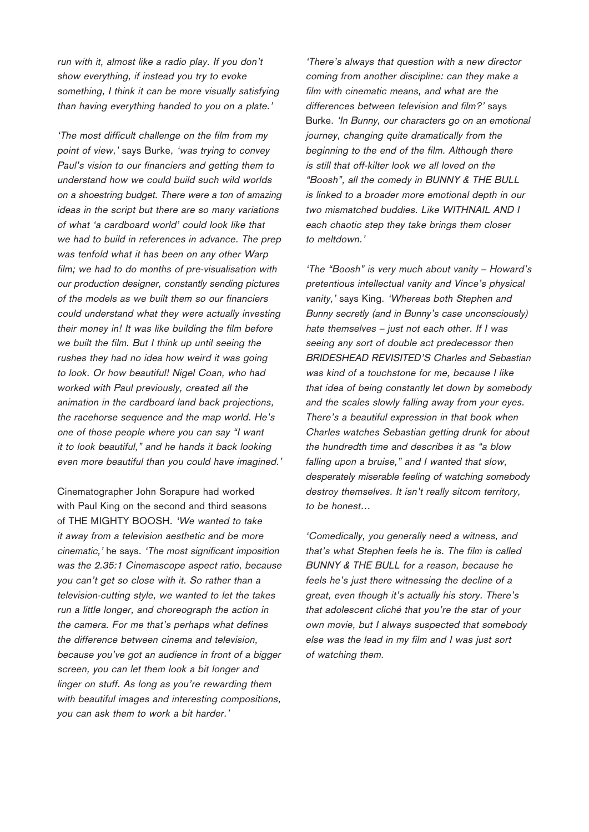run with it, almost like a radio play. If you don't show everything, if instead you try to evoke something, I think it can be more visually satisfying than having everything handed to you on a plate.'

'The most difficult challenge on the film from my point of view,' says Burke, 'was trying to convey Paul's vision to our financiers and getting them to understand how we could build such wild worlds on a shoestring budget. There were a ton of amazing ideas in the script but there are so many variations of what 'a cardboard world' could look like that we had to build in references in advance. The prep was tenfold what it has been on any other Warp film; we had to do months of pre-visualisation with our production designer, constantly sending pictures of the models as we built them so our financiers could understand what they were actually investing their money in! It was like building the film before we built the film. But I think up until seeing the rushes they had no idea how weird it was going to look. Or how beautiful! Nigel Coan, who had worked with Paul previously, created all the animation in the cardboard land back projections, the racehorse sequence and the map world. He's one of those people where you can say "I want it to look beautiful," and he hands it back looking even more beautiful than you could have imagined.'

Cinematographer John Sorapure had worked with Paul King on the second and third seasons of THE MIGHTY BOOSH. 'We wanted to take it away from a television aesthetic and be more cinematic,' he says. 'The most significant imposition was the 2.35:1 Cinemascope aspect ratio, because you can't get so close with it. So rather than a television-cutting style, we wanted to let the takes run a little longer, and choreograph the action in the camera. For me that's perhaps what defines the difference between cinema and television, because you've got an audience in front of a bigger screen, you can let them look a bit longer and linger on stuff. As long as you're rewarding them with beautiful images and interesting compositions, you can ask them to work a bit harder.'

'There's always that question with a new director coming from another discipline: can they make a film with cinematic means, and what are the differences between television and film?' says Burke. 'In Bunny, our characters go on an emotional journey, changing quite dramatically from the beginning to the end of the film. Although there is still that off-kilter look we all loved on the "Boosh", all the comedy in BUNNY & THE BULL is linked to a broader more emotional depth in our two mismatched buddies. Like WITHNAIL AND I each chaotic step they take brings them closer to meltdown.'

'The "Boosh" is very much about vanity – Howard's pretentious intellectual vanity and Vince's physical vanity,' says King. 'Whereas both Stephen and Bunny secretly (and in Bunny's case unconsciously) hate themselves – just not each other. If I was seeing any sort of double act predecessor then BRIDESHEAD REVISITED'S Charles and Sebastian was kind of a touchstone for me, because I like that idea of being constantly let down by somebody and the scales slowly falling away from your eyes. There's a beautiful expression in that book when Charles watches Sebastian getting drunk for about the hundredth time and describes it as "a blow falling upon a bruise," and I wanted that slow, desperately miserable feeling of watching somebody destroy themselves. It isn't really sitcom territory, to be honest…

'Comedically, you generally need a witness, and that's what Stephen feels he is. The film is called BUNNY & THE BULL for a reason, because he feels he's just there witnessing the decline of a great, even though it's actually his story. There's that adolescent cliché that you're the star of your own movie, but I always suspected that somebody else was the lead in my film and I was just sort of watching them.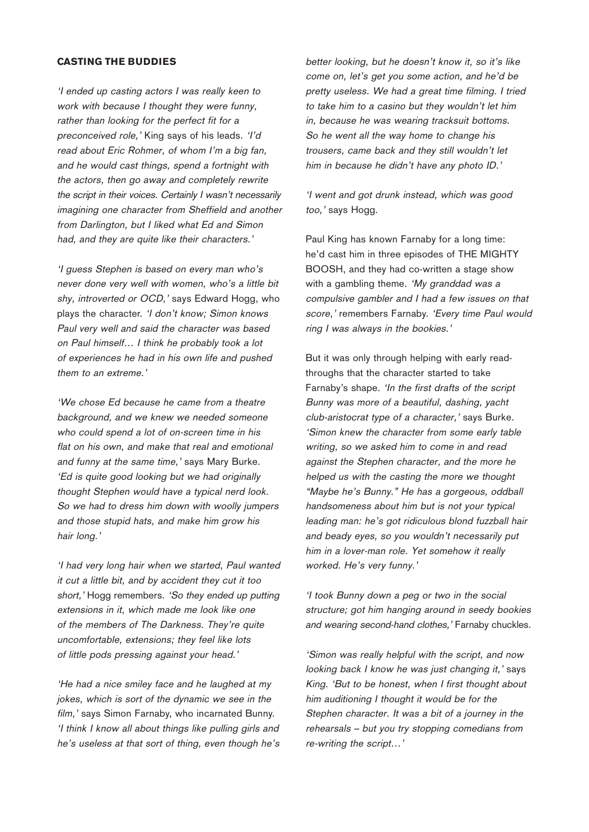#### **CASTING THE BUDDIES**

'I ended up casting actors I was really keen to work with because I thought they were funny, rather than looking for the perfect fit for a preconceived role,' King says of his leads. 'I'd read about Eric Rohmer, of whom I'm a big fan, and he would cast things, spend a fortnight with the actors, then go away and completely rewrite the script in their voices. Certainly I wasn't necessarily imagining one character from Sheffield and another from Darlington, but I liked what Ed and Simon had, and they are quite like their characters.'

'I guess Stephen is based on every man who's never done very well with women, who's a little bit shy, introverted or OCD,' says Edward Hogg, who plays the character. 'I don't know; Simon knows Paul very well and said the character was based on Paul himself… I think he probably took a lot of experiences he had in his own life and pushed them to an extreme.'

'We chose Ed because he came from a theatre background, and we knew we needed someone who could spend a lot of on-screen time in his flat on his own, and make that real and emotional and funny at the same time,' says Mary Burke. 'Ed is quite good looking but we had originally thought Stephen would have a typical nerd look. So we had to dress him down with woolly jumpers and those stupid hats, and make him grow his hair long.'

'I had very long hair when we started, Paul wanted it cut a little bit, and by accident they cut it too short,' Hogg remembers. 'So they ended up putting extensions in it, which made me look like one of the members of The Darkness. They're quite uncomfortable, extensions; they feel like lots of little pods pressing against your head.'

'He had a nice smiley face and he laughed at my jokes, which is sort of the dynamic we see in the film,' says Simon Farnaby, who incarnated Bunny. 'I think I know all about things like pulling girls and he's useless at that sort of thing, even though he's

better looking, but he doesn't know it, so it's like come on, let's get you some action, and he'd be pretty useless. We had a great time filming. I tried to take him to a casino but they wouldn't let him in, because he was wearing tracksuit bottoms. So he went all the way home to change his trousers, came back and they still wouldn't let him in because he didn't have any photo ID.'

'I went and got drunk instead, which was good too,' says Hogg.

Paul King has known Farnaby for a long time: he'd cast him in three episodes of THE MIGHTY BOOSH, and they had co-written a stage show with a gambling theme. 'My granddad was a compulsive gambler and I had a few issues on that score,' remembers Farnaby. 'Every time Paul would ring I was always in the bookies.'

But it was only through helping with early readthroughs that the character started to take Farnaby's shape. 'In the first drafts of the script Bunny was more of a beautiful, dashing, yacht club-aristocrat type of a character,' says Burke. 'Simon knew the character from some early table writing, so we asked him to come in and read against the Stephen character, and the more he helped us with the casting the more we thought "Maybe he's Bunny." He has a gorgeous, oddball handsomeness about him but is not your typical leading man: he's got ridiculous blond fuzzball hair and beady eyes, so you wouldn't necessarily put him in a lover-man role. Yet somehow it really worked. He's very funny.'

'I took Bunny down a peg or two in the social structure; got him hanging around in seedy bookies and wearing second-hand clothes,' Farnaby chuckles.

'Simon was really helpful with the script, and now looking back I know he was just changing it,' says King. 'But to be honest, when I first thought about him auditioning I thought it would be for the Stephen character. It was a bit of a journey in the rehearsals – but you try stopping comedians from re-writing the script…'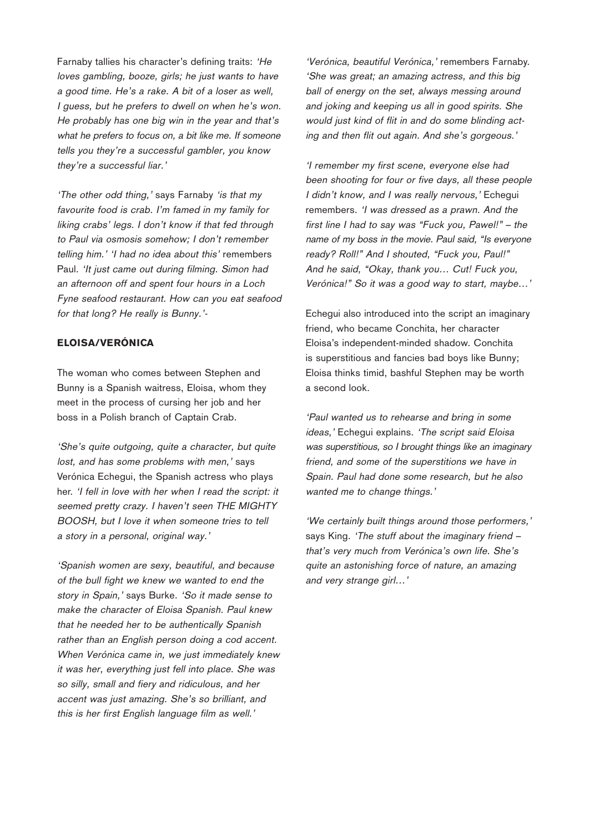Farnaby tallies his character's defining traits: 'He loves gambling, booze, girls; he just wants to have a good time. He's a rake. A bit of a loser as well, I guess, but he prefers to dwell on when he's won. He probably has one big win in the year and that's what he prefers to focus on, a bit like me. If someone tells you they're a successful gambler, you know they're a successful liar.'

'The other odd thing,' says Farnaby 'is that my favourite food is crab. I'm famed in my family for liking crabs' legs. I don't know if that fed through to Paul via osmosis somehow; I don't remember telling him.' 'I had no idea about this' remembers Paul. 'It just came out during filming. Simon had an afternoon off and spent four hours in a Loch Fyne seafood restaurant. How can you eat seafood for that long? He really is Bunny.'-

#### **ELOISA/VERÓNICA**

The woman who comes between Stephen and Bunny is a Spanish waitress, Eloisa, whom they meet in the process of cursing her job and her boss in a Polish branch of Captain Crab.

'She's quite outgoing, quite a character, but quite lost, and has some problems with men,' says Verónica Echegui, the Spanish actress who plays her. 'I fell in love with her when I read the script: it seemed pretty crazy. I haven't seen THE MIGHTY BOOSH, but I love it when someone tries to tell a story in a personal, original way.'

'Spanish women are sexy, beautiful, and because of the bull fight we knew we wanted to end the story in Spain,' says Burke. 'So it made sense to make the character of Eloisa Spanish. Paul knew that he needed her to be authentically Spanish rather than an English person doing a cod accent. When Verónica came in, we just immediately knew it was her, everything just fell into place. She was so silly, small and fiery and ridiculous, and her accent was just amazing. She's so brilliant, and this is her first English language film as well.'

'Verónica, beautiful Verónica,' remembers Farnaby. 'She was great; an amazing actress, and this big ball of energy on the set, always messing around and joking and keeping us all in good spirits. She would just kind of flit in and do some blinding acting and then flit out again. And she's gorgeous.'

'I remember my first scene, everyone else had been shooting for four or five days, all these people I didn't know, and I was really nervous,' Echegui remembers. 'I was dressed as a prawn. And the first line I had to say was "Fuck you, Pawel!" – the name of my boss in the movie. Paul said, "Is everyone ready? Roll!" And I shouted, "Fuck you, Paul!" And he said, "Okay, thank you… Cut! Fuck you, Verónica!" So it was a good way to start, maybe…'

Echegui also introduced into the script an imaginary friend, who became Conchita, her character Eloisa's independent-minded shadow. Conchita is superstitious and fancies bad boys like Bunny; Eloisa thinks timid, bashful Stephen may be worth a second look.

'Paul wanted us to rehearse and bring in some ideas,' Echegui explains. 'The script said Eloisa was superstitious, so I brought things like an imaginary friend, and some of the superstitions we have in Spain. Paul had done some research, but he also wanted me to change things.'

'We certainly built things around those performers,' says King. 'The stuff about the imaginary friend that's very much from Verónica's own life. She's quite an astonishing force of nature, an amazing and very strange girl…'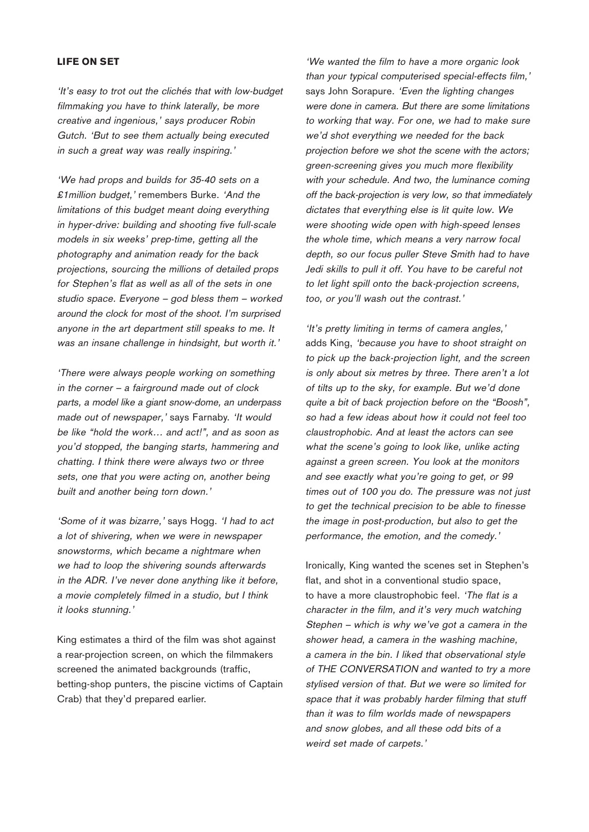#### **LIFE ON SET**

'It's easy to trot out the clichés that with low-budget filmmaking you have to think laterally, be more creative and ingenious,' says producer Robin Gutch. 'But to see them actually being executed in such a great way was really inspiring.'

'We had props and builds for 35-40 sets on a £1 million budget,' remembers Burke. 'And the limitations of this budget meant doing everything in hyper-drive: building and shooting five full-scale models in six weeks' prep-time, getting all the photography and animation ready for the back projections, sourcing the millions of detailed props for Stephen's flat as well as all of the sets in one studio space. Everyone – god bless them – worked around the clock for most of the shoot. I'm surprised anyone in the art department still speaks to me. It was an insane challenge in hindsight, but worth it.'

'There were always people working on something in the corner – a fairground made out of clock parts, a model like a giant snow-dome, an underpass made out of newspaper,' says Farnaby. 'It would be like "hold the work… and act!", and as soon as you'd stopped, the banging starts, hammering and chatting. I think there were always two or three sets, one that you were acting on, another being built and another being torn down.'

'Some of it was bizarre,' says Hogg. 'I had to act a lot of shivering, when we were in newspaper snowstorms, which became a nightmare when we had to loop the shivering sounds afterwards in the ADR. I've never done anything like it before, a movie completely filmed in a studio, but I think it looks stunning.'

King estimates a third of the film was shot against a rear-projection screen, on which the filmmakers screened the animated backgrounds (traffic, betting-shop punters, the piscine victims of Captain Crab) that they'd prepared earlier.

'We wanted the film to have a more organic look than your typical computerised special-effects film,' says John Sorapure. 'Even the lighting changes were done in camera. But there are some limitations to working that way. For one, we had to make sure we'd shot everything we needed for the back projection before we shot the scene with the actors; green-screening gives you much more flexibility with your schedule. And two, the luminance coming off the back-projection is very low, so that immediately dictates that everything else is lit quite low. We were shooting wide open with high-speed lenses the whole time, which means a very narrow focal depth, so our focus puller Steve Smith had to have Jedi skills to pull it off. You have to be careful not to let light spill onto the back-projection screens, too, or you'll wash out the contrast.'

'It's pretty limiting in terms of camera angles,' adds King, 'because you have to shoot straight on to pick up the back-projection light, and the screen is only about six metres by three. There aren't a lot of tilts up to the sky, for example. But we'd done quite a bit of back projection before on the "Boosh", so had a few ideas about how it could not feel too claustrophobic. And at least the actors can see what the scene's going to look like, unlike acting against a green screen. You look at the monitors and see exactly what you're going to get, or 99 times out of 100 you do. The pressure was not just to get the technical precision to be able to finesse the image in post-production, but also to get the performance, the emotion, and the comedy.'

Ironically, King wanted the scenes set in Stephen's flat, and shot in a conventional studio space, to have a more claustrophobic feel. 'The flat is a character in the film, and it's very much watching Stephen – which is why we've got a camera in the shower head, a camera in the washing machine, a camera in the bin. I liked that observational style of THE CONVERSATION and wanted to try a more stylised version of that. But we were so limited for space that it was probably harder filming that stuff than it was to film worlds made of newspapers and snow globes, and all these odd bits of a weird set made of carpets.'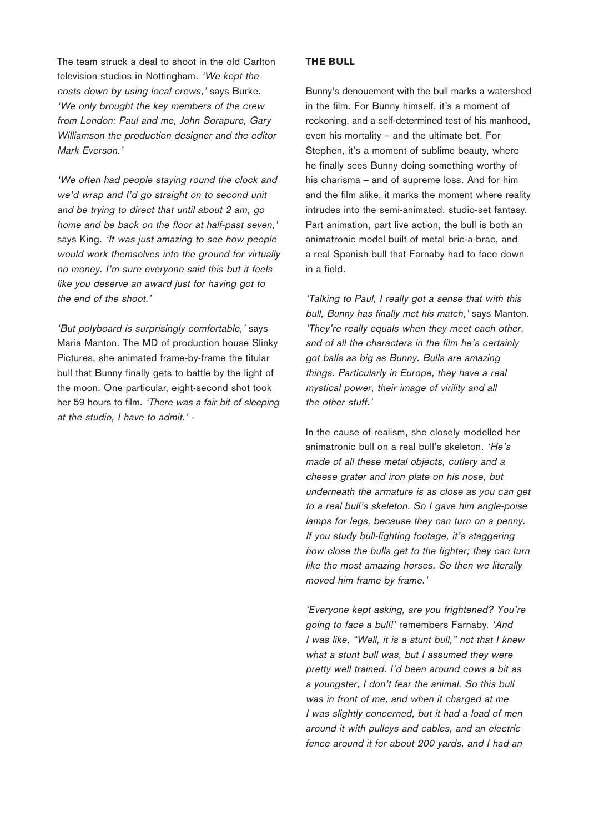The team struck a deal to shoot in the old Carlton television studios in Nottingham. 'We kept the costs down by using local crews,' says Burke. 'We only brought the key members of the crew from London: Paul and me, John Sorapure, Gary Williamson the production designer and the editor Mark Everson.'

'We often had people staying round the clock and we'd wrap and I'd go straight on to second unit and be trying to direct that until about 2 am, go home and be back on the floor at half-past seven,' says King. 'It was just amazing to see how people would work themselves into the ground for virtually no money. I'm sure everyone said this but it feels like you deserve an award just for having got to the end of the shoot.'

'But polyboard is surprisingly comfortable,' says Maria Manton. The MD of production house Slinky Pictures, she animated frame-by-frame the titular bull that Bunny finally gets to battle by the light of the moon. One particular, eight-second shot took her 59 hours to film. 'There was a fair bit of sleeping at the studio, I have to admit.' -

#### **THE BULL**

Bunny's denouement with the bull marks a watershed in the film. For Bunny himself, it's a moment of reckoning, and a self-determined test of his manhood, even his mortality – and the ultimate bet. For Stephen, it's a moment of sublime beauty, where he finally sees Bunny doing something worthy of his charisma – and of supreme loss. And for him and the film alike, it marks the moment where reality intrudes into the semi-animated, studio-set fantasy. Part animation, part live action, the bull is both an animatronic model built of metal bric-a-brac, and a real Spanish bull that Farnaby had to face down in a field.

'Talking to Paul, I really got a sense that with this bull, Bunny has finally met his match,' says Manton. 'They're really equals when they meet each other, and of all the characters in the film he's certainly got balls as big as Bunny. Bulls are amazing things. Particularly in Europe, they have a real mystical power, their image of virility and all the other stuff.'

In the cause of realism, she closely modelled her animatronic bull on a real bull's skeleton. 'He's made of all these metal objects, cutlery and a cheese grater and iron plate on his nose, but underneath the armature is as close as you can get to a real bull's skeleton. So I gave him angle-poise lamps for legs, because they can turn on a penny. If you study bull-fighting footage, it's staggering how close the bulls get to the fighter; they can turn like the most amazing horses. So then we literally moved him frame by frame.'

'Everyone kept asking, are you frightened? You're going to face a bull!' remembers Farnaby. 'And I was like, "Well, it is a stunt bull," not that I knew what a stunt bull was, but I assumed they were pretty well trained. I'd been around cows a bit as a youngster, I don't fear the animal. So this bull was in front of me, and when it charged at me I was slightly concerned, but it had a load of men around it with pulleys and cables, and an electric fence around it for about 200 yards, and I had an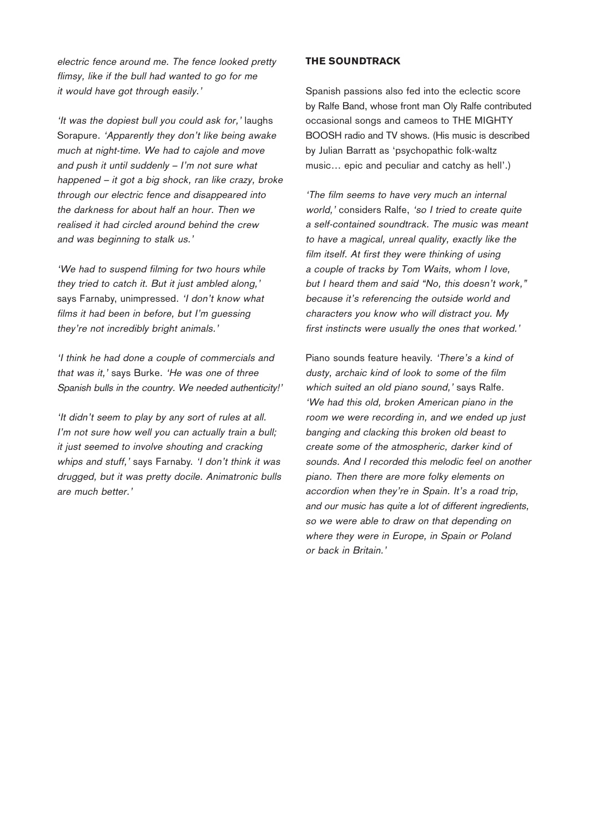electric fence around me. The fence looked pretty flimsy, like if the bull had wanted to go for me it would have got through easily.'

'It was the dopiest bull you could ask for,' laughs Sorapure. 'Apparently they don't like being awake much at night-time. We had to cajole and move and push it until suddenly – I'm not sure what happened – it got a big shock, ran like crazy, broke through our electric fence and disappeared into the darkness for about half an hour. Then we realised it had circled around behind the crew and was beginning to stalk us.'

'We had to suspend filming for two hours while they tried to catch it. But it just ambled along,' says Farnaby, unimpressed. 'I don't know what films it had been in before, but I'm guessing they're not incredibly bright animals.'

'I think he had done a couple of commercials and that was it,' says Burke. 'He was one of three Spanish bulls in the country. We needed authenticity!'

'It didn't seem to play by any sort of rules at all. I'm not sure how well you can actually train a bull; it just seemed to involve shouting and cracking whips and stuff,' says Farnaby. 'I don't think it was drugged, but it was pretty docile. Animatronic bulls are much better.'

### **THE SOUNDTRACK**

Spanish passions also fed into the eclectic score by Ralfe Band, whose front man Oly Ralfe contributed occasional songs and cameos to THE MIGHTY BOOSH radio and TV shows. (His music is described by Julian Barratt as 'psychopathic folk-waltz music… epic and peculiar and catchy as hell'.)

'The film seems to have very much an internal world,' considers Ralfe, 'so I tried to create quite a self-contained soundtrack. The music was meant to have a magical, unreal quality, exactly like the film itself. At first they were thinking of using a couple of tracks by Tom Waits, whom I love, but I heard them and said "No, this doesn't work," because it's referencing the outside world and characters you know who will distract you. My first instincts were usually the ones that worked.'

Piano sounds feature heavily. 'There's a kind of dusty, archaic kind of look to some of the film which suited an old piano sound,' says Ralfe. 'We had this old, broken American piano in the room we were recording in, and we ended up just banging and clacking this broken old beast to create some of the atmospheric, darker kind of sounds. And I recorded this melodic feel on another piano. Then there are more folky elements on accordion when they're in Spain. It's a road trip, and our music has quite a lot of different ingredients, so we were able to draw on that depending on where they were in Europe, in Spain or Poland or back in Britain.'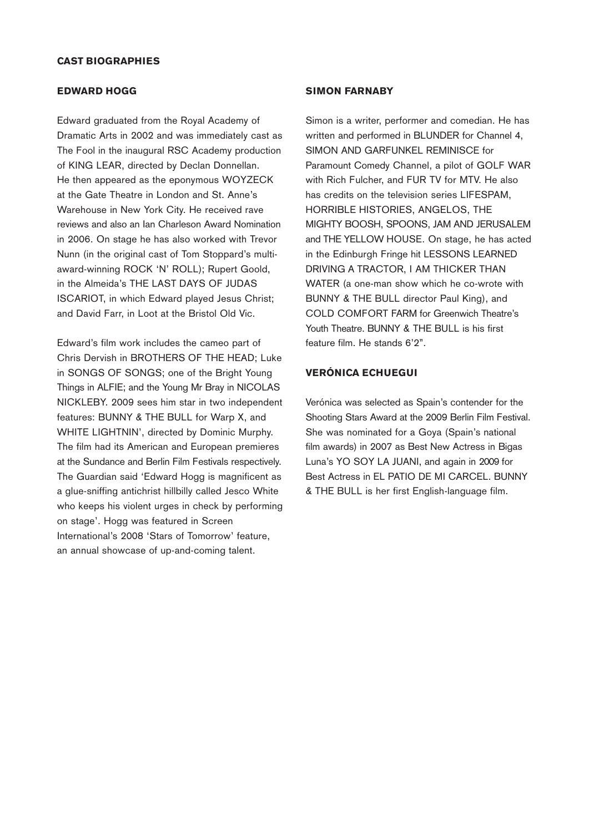#### **CAST BIOGRAPHIES**

#### **EDWARD HOGG**

Edward graduated from the Royal Academy of Dramatic Arts in 2002 and was immediately cast as The Fool in the inaugural RSC Academy production of KING LEAR, directed by Declan Donnellan. He then appeared as the eponymous WOYZECK at the Gate Theatre in London and St. Anne's Warehouse in New York City. He received rave reviews and also an Ian Charleson Award Nomination in 2006. On stage he has also worked with Trevor Nunn (in the original cast of Tom Stoppard's multiaward-winning ROCK 'N' ROLL); Rupert Goold, in the Almeida's THE LAST DAYS OF JUDAS ISCARIOT, in which Edward played Jesus Christ; and David Farr, in Loot at the Bristol Old Vic.

Edward's film work includes the cameo part of Chris Dervish in BROTHERS OF THE HEAD; Luke in SONGS OF SONGS; one of the Bright Young Things in ALFIE; and the Young Mr Bray in NICOLAS NICKLEBY. 2009 sees him star in two independent features: BUNNY & THE BULL for Warp X, and WHITE LIGHTNIN', directed by Dominic Murphy. The film had its American and European premieres at the Sundance and Berlin Film Festivals respectively. The Guardian said 'Edward Hogg is magnificent as a glue-sniffing antichrist hillbilly called Jesco White who keeps his violent urges in check by performing on stage'. Hogg was featured in Screen International's 2008 'Stars of Tomorrow' feature, an annual showcase of up-and-coming talent.

#### **SIMON FARNABY**

Simon is a writer, performer and comedian. He has written and performed in BLUNDER for Channel 4, SIMON AND GARFUNKEL REMINISCE for Paramount Comedy Channel, a pilot of GOLF WAR with Rich Fulcher, and FUR TV for MTV. He also has credits on the television series LIFESPAM, HORRIBLE HISTORIES, ANGELOS, THE MIGHTY BOOSH, SPOONS, JAM AND JERUSALEM and THE YELLOW HOUSE. On stage, he has acted in the Edinburgh Fringe hit LESSONS LEARNED DRIVING A TRACTOR, I AM THICKER THAN WATER (a one-man show which he co-wrote with BUNNY & THE BULL director Paul King), and COLD COMFORT FARM for Greenwich Theatre's Youth Theatre. BUNNY & THE BULL is his first feature film. He stands 6'2".

#### **VERÓNICA ECHUEGUI**

Verónica was selected as Spain's contender for the Shooting Stars Award at the 2009 Berlin Film Festival. She was nominated for a Goya (Spain's national film awards) in 2007 as Best New Actress in Bigas Luna's YO SOY LA JUANI, and again in 2009 for Best Actress in EL PATIO DE MI CARCEL. BUNNY & THE BULL is her first English-language film.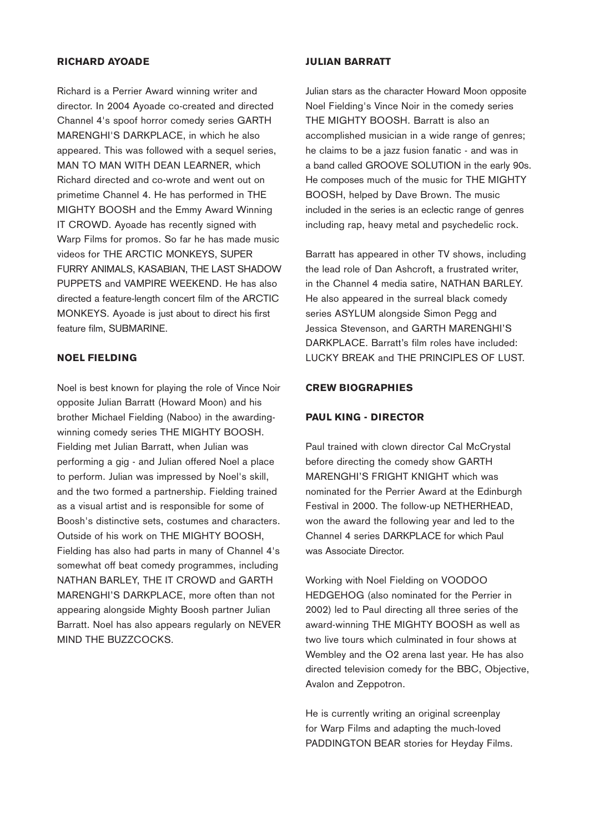#### **RICHARD AYOADE**

Richard is a Perrier Award winning writer and director. In 2004 Ayoade co-created and directed Channel 4's spoof horror comedy series GARTH MARENGHI'S DARKPLACE, in which he also appeared. This was followed with a sequel series, MAN TO MAN WITH DEAN LEARNER, which Richard directed and co-wrote and went out on primetime Channel 4. He has performed in THE MIGHTY BOOSH and the Emmy Award Winning IT CROWD. Ayoade has recently signed with Warp Films for promos. So far he has made music videos for THE ARCTIC MONKEYS, SUPER FURRY ANIMALS, KASABIAN, THE LAST SHADOW PUPPETS and VAMPIRE WEEKEND. He has also directed a feature-length concert film of the ARCTIC MONKEYS. Ayoade is just about to direct his first feature film, SUBMARINE.

#### **NOEL FIELDING**

Noel is best known for playing the role of Vince Noir opposite Julian Barratt (Howard Moon) and his brother Michael Fielding (Naboo) in the awardingwinning comedy series THE MIGHTY BOOSH. Fielding met Julian Barratt, when Julian was performing a gig - and Julian offered Noel a place to perform. Julian was impressed by Noel's skill, and the two formed a partnership. Fielding trained as a visual artist and is responsible for some of Boosh's distinctive sets, costumes and characters. Outside of his work on THE MIGHTY BOOSH, Fielding has also had parts in many of Channel 4's somewhat off beat comedy programmes, including NATHAN BARLEY, THE IT CROWD and GARTH MARENGHI'S DARKPLACE, more often than not appearing alongside Mighty Boosh partner Julian Barratt. Noel has also appears regularly on NEVER MIND THE BUZZCOCKS.

#### **JULIAN BARRATT**

Julian stars as the character Howard Moon opposite Noel Fielding's Vince Noir in the comedy series THE MIGHTY BOOSH. Barratt is also an accomplished musician in a wide range of genres; he claims to be a jazz fusion fanatic - and was in a band called GROOVE SOLUTION in the early 90s. He composes much of the music for THE MIGHTY BOOSH, helped by Dave Brown. The music included in the series is an eclectic range of genres including rap, heavy metal and psychedelic rock.

Barratt has appeared in other TV shows, including the lead role of Dan Ashcroft, a frustrated writer, in the Channel 4 media satire, NATHAN BARLEY. He also appeared in the surreal black comedy series ASYLUM alongside Simon Pegg and Jessica Stevenson, and GARTH MARENGHI'S DARKPLACE. Barratt's film roles have included: LUCKY BREAK and THE PRINCIPLES OF LUST.

#### **CREW BIOGRAPHIES**

#### **PAUL KING - DIRECTOR**

Paul trained with clown director Cal McCrystal before directing the comedy show GARTH MARENGHI'S FRIGHT KNIGHT which was nominated for the Perrier Award at the Edinburgh Festival in 2000. The follow-up NETHERHEAD, won the award the following year and led to the Channel 4 series DARKPLACE for which Paul was Associate Director.

Working with Noel Fielding on VOODOO HEDGEHOG (also nominated for the Perrier in 2002) led to Paul directing all three series of the award-winning THE MIGHTY BOOSH as well as two live tours which culminated in four shows at Wembley and the O2 arena last year. He has also directed television comedy for the BBC, Objective, Avalon and Zeppotron.

He is currently writing an original screenplay for Warp Films and adapting the much-loved PADDINGTON BEAR stories for Heyday Films.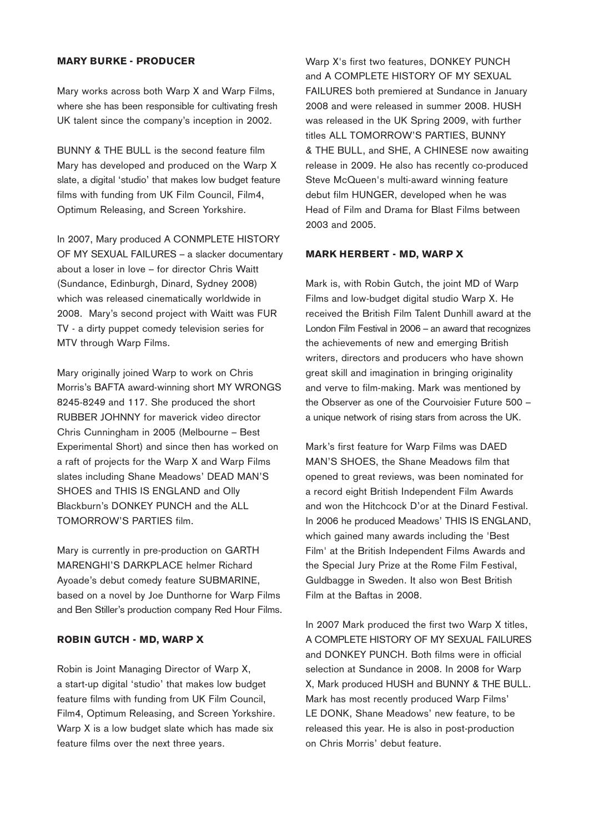#### **MARY BURKE - PRODUCER**

Mary works across both Warp X and Warp Films, where she has been responsible for cultivating fresh UK talent since the company's inception in 2002.

BUNNY & THE BULL is the second feature film Mary has developed and produced on the Warp X slate, a digital 'studio' that makes low budget feature films with funding from UK Film Council, Film4, Optimum Releasing, and Screen Yorkshire.

In 2007, Mary produced A CONMPLETE HISTORY OF MY SEXUAL FAILURES – a slacker documentary about a loser in love – for director Chris Waitt (Sundance, Edinburgh, Dinard, Sydney 2008) which was released cinematically worldwide in 2008. Mary's second project with Waitt was FUR TV - a dirty puppet comedy television series for MTV through Warp Films.

Mary originally joined Warp to work on Chris Morris's BAFTA award-winning short MY WRONGS 8245-8249 and 117. She produced the short RUBBER JOHNNY for maverick video director Chris Cunningham in 2005 (Melbourne – Best Experimental Short) and since then has worked on a raft of projects for the Warp X and Warp Films slates including Shane Meadows' DEAD MAN'S SHOES and THIS IS ENGLAND and Olly Blackburn's DONKEY PUNCH and the ALL TOMORROW'S PARTIES film.

Mary is currently in pre-production on GARTH MARENGHI'S DARKPLACE helmer Richard Ayoade's debut comedy feature SUBMARINE, based on a novel by Joe Dunthorne for Warp Films and Ben Stiller's production company Red Hour Films.

#### **ROBIN GUTCH - MD, WARP X**

Robin is Joint Managing Director of Warp X, a start-up digital 'studio' that makes low budget feature films with funding from UK Film Council, Film4, Optimum Releasing, and Screen Yorkshire. Warp X is a low budget slate which has made six feature films over the next three years.

Warp X's first two features, DONKEY PUNCH and A COMPLETE HISTORY OF MY SEXUAL FAILURES both premiered at Sundance in January 2008 and were released in summer 2008. HUSH was released in the UK Spring 2009, with further titles ALL TOMORROW'S PARTIES, BUNNY & THE BULL, and SHE, A CHINESE now awaiting release in 2009. He also has recently co-produced Steve McQueen's multi-award winning feature debut film HUNGER, developed when he was Head of Film and Drama for Blast Films between 2003 and 2005.

#### **MARK HERBERT - MD, WARP X**

Mark is, with Robin Gutch, the joint MD of Warp Films and low-budget digital studio Warp X. He received the British Film Talent Dunhill award at the London Film Festival in 2006 – an award that recognizes the achievements of new and emerging British writers, directors and producers who have shown great skill and imagination in bringing originality and verve to film-making. Mark was mentioned by the Observer as one of the Courvoisier Future 500 – a unique network of rising stars from across the UK.

Mark's first feature for Warp Films was DAED MAN'S SHOES, the Shane Meadows film that opened to great reviews, was been nominated for a record eight British Independent Film Awards and won the Hitchcock D'or at the Dinard Festival. In 2006 he produced Meadows' THIS IS ENGLAND, which gained many awards including the 'Best Film' at the British Independent Films Awards and the Special Jury Prize at the Rome Film Festival, Guldbagge in Sweden. It also won Best British Film at the Baftas in 2008.

In 2007 Mark produced the first two Warp X titles, A COMPLETE HISTORY OF MY SEXUAL FAILURES and DONKEY PUNCH. Both films were in official selection at Sundance in 2008. In 2008 for Warp X, Mark produced HUSH and BUNNY & THE BULL. Mark has most recently produced Warp Films' LE DONK, Shane Meadows' new feature, to be released this year. He is also in post-production on Chris Morris' debut feature.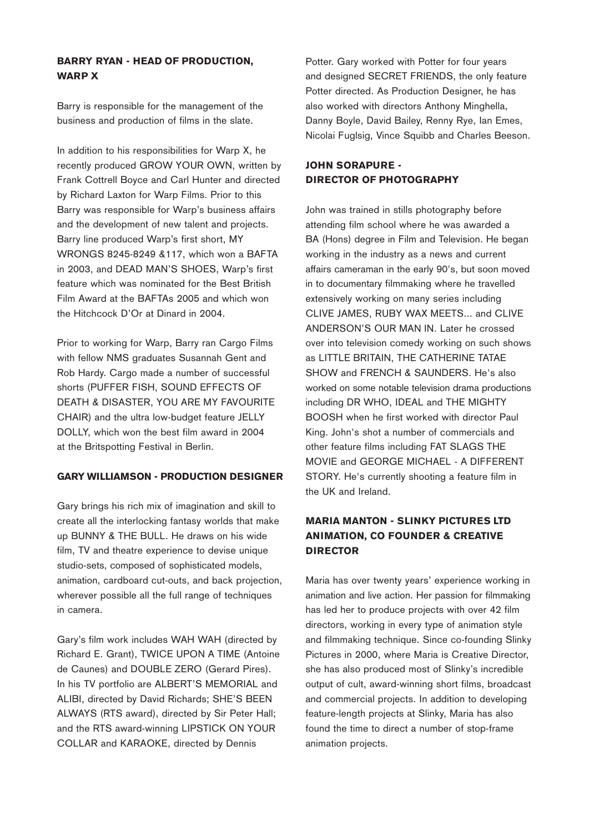# **BARRY RYAN - HEAD OF PRODUCTION, WARP X**

Barry is responsible for the management of the business and production of films in the slate.

In addition to his responsibilities for Warp X, he recently produced GROW YOUR OWN, written by Frank Cottrell Boyce and Carl Hunter and directed by Richard Laxton for Warp Films. Prior to this Barry was responsible for Warp's business affairs and the development of new talent and projects. Barry line produced Warp's first short, MY WRONGS 8245-8249 &117, which won a BAFTA in 2003, and DEAD MAN'S SHOES, Warp's first feature which was nominated for the Best British Film Award at the BAFTAs 2005 and which won the Hitchcock D'Or at Dinard in 2004.

Prior to working for Warp, Barry ran Cargo Films with fellow NMS graduates Susannah Gent and Rob Hardy. Cargo made a number of successful shorts (PUFFER FISH, SOUND EFFECTS OF DEATH & DISASTER, YOU ARE MY FAVOURITE CHAIR) and the ultra low-budget feature JELLY DOLLY, which won the best film award in 2004 at the Britspotting Festival in Berlin.

#### **GARY WILLIAMSON - PRODUCTION DESIGNER**

Gary brings his rich mix of imagination and skill to create all the interlocking fantasy worlds that make up BUNNY & THE BULL. He draws on his wide film, TV and theatre experience to devise unique studio-sets, composed of sophisticated models, animation, cardboard cut-outs, and back projection, wherever possible all the full range of techniques in camera.

Gary's film work includes WAH WAH (directed by Richard E. Grant), TWICE UPON A TIME (Antoine de Caunes) and DOUBLE ZERO (Gerard Pires). In his TV portfolio are ALBERT'S MEMORIAL and ALIBI, directed by David Richards; SHE'S BEEN ALWAYS (RTS award), directed by Sir Peter Hall; and the RTS award-winning LIPSTICK ON YOUR COLLAR and KARAOKE, directed by Dennis

Potter. Gary worked with Potter for four years and designed SECRET FRIENDS, the only feature Potter directed. As Production Designer, he has also worked with directors Anthony Minghella, Danny Boyle, David Bailey, Renny Rye, Ian Emes, Nicolai Fuglsig, Vince Squibb and Charles Beeson.

# **JOHN SORAPURE - DIRECTOR OF PHOTOGRAPHY**

John was trained in stills photography before attending film school where he was awarded a BA (Hons) degree in Film and Television. He began working in the industry as a news and current affairs cameraman in the early 90's, but soon moved in to documentary filmmaking where he travelled extensively working on many series including CLIVE JAMES, RUBY WAX MEETS... and CLIVE ANDERSON'S OUR MAN IN. Later he crossed over into television comedy working on such shows as LITTLE BRITAIN, THE CATHERINE TATAE SHOW and FRENCH & SAUNDERS. He's also worked on some notable television drama productions including DR WHO, IDEAL and THE MIGHTY BOOSH when he first worked with director Paul King. John's shot a number of commercials and other feature films including FAT SLAGS THE MOVIE and GEORGE MICHAEL - A DIFFERENT STORY. He's currently shooting a feature film in the UK and Ireland.

# **MARIA MANTON - SLINKY PICTURES LTD ANIMATION, CO FOUNDER & CREATIVE DIRECTOR**

Maria has over twenty years' experience working in animation and live action. Her passion for filmmaking has led her to produce projects with over 42 film directors, working in every type of animation style and filmmaking technique. Since co-founding Slinky Pictures in 2000, where Maria is Creative Director, she has also produced most of Slinky's incredible output of cult, award-winning short films, broadcast and commercial projects. In addition to developing feature-length projects at Slinky, Maria has also found the time to direct a number of stop-frame animation projects.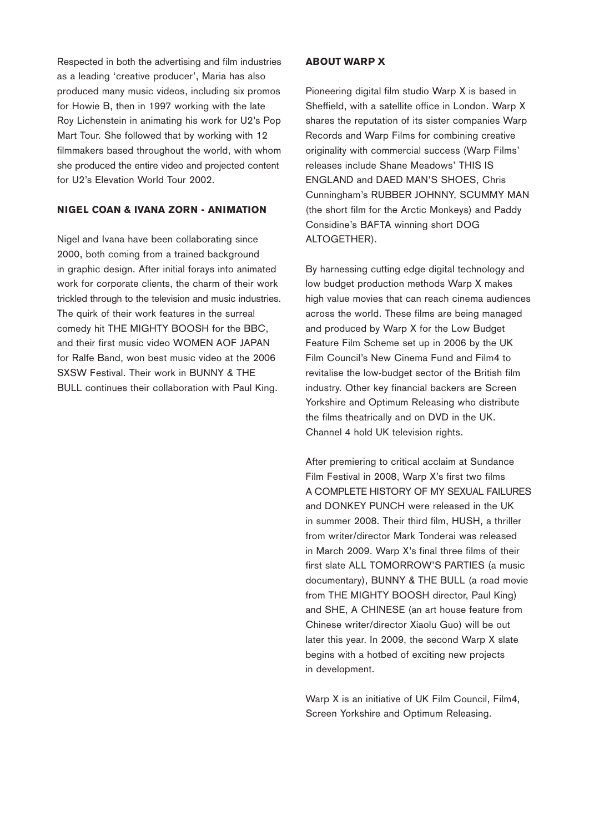Respected in both the advertising and film industries as a leading 'creative producer', Maria has also produced many music videos, including six promos for Howie B, then in 1997 working with the late Roy Lichenstein in animating his work for U2's Pop Mart Tour. She followed that by working with 12 filmmakers based throughout the world, with whom she produced the entire video and projected content for U2's Elevation World Tour 2002.

#### **NIGEL COAN & IVANA ZORN - ANIMATION**

Nigel and Ivana have been collaborating since 2000, both coming from a trained background in graphic design. After initial forays into animated work for corporate clients, the charm of their work trickled through to the television and music industries. The quirk of their work features in the surreal comedy hit THE MIGHTY BOOSH for the BBC, and their first music video WOMEN AOF JAPAN for Ralfe Band, won best music video at the 2006 SXSW Festival. Their work in BUNNY & THE BULL continues their collaboration with Paul King.

#### **ABOUT WARP X**

Pioneering digital film studio Warp X is based in Sheffield, with a satellite office in London. Warp X shares the reputation of its sister companies Warp Records and Warp Films for combining creative originality with commercial success (Warp Films' releases include Shane Meadows' THIS IS ENGLAND and DAED MAN'S SHOES, Chris Cunningham's RUBBER JOHNNY, SCUMMY MAN (the short film for the Arctic Monkeys) and Paddy Considine's BAFTA winning short DOG ALTOGETHER).

By harnessing cutting edge digital technology and low budget production methods Warp X makes high value movies that can reach cinema audiences across the world. These films are being managed and produced by Warp X for the Low Budget Feature Film Scheme set up in 2006 by the UK Film Council's New Cinema Fund and Film4 to revitalise the low-budget sector of the British film industry. Other key financial backers are Screen Yorkshire and Optimum Releasing who distribute the films theatrically and on DVD in the UK. Channel 4 hold UK television rights.

After premiering to critical acclaim at Sundance Film Festival in 2008, Warp X's first two films A COMPLETE HISTORY OF MY SEXUAL FAILURES and DONKEY PUNCH were released in the UK in summer 2008. Their third film, HUSH, a thriller from writer/director Mark Tonderai was released in March 2009. Warp X's final three films of their first slate ALL TOMORROW'S PARTIES (a music documentary), BUNNY & THE BULL (a road movie from THE MIGHTY BOOSH director, Paul King) and SHE, A CHINESE (an art house feature from Chinese writer/director Xiaolu Guo) will be out later this year. In 2009, the second Warp X slate begins with a hotbed of exciting new projects in development.

Warp X is an initiative of UK Film Council, Film4, Screen Yorkshire and Optimum Releasing.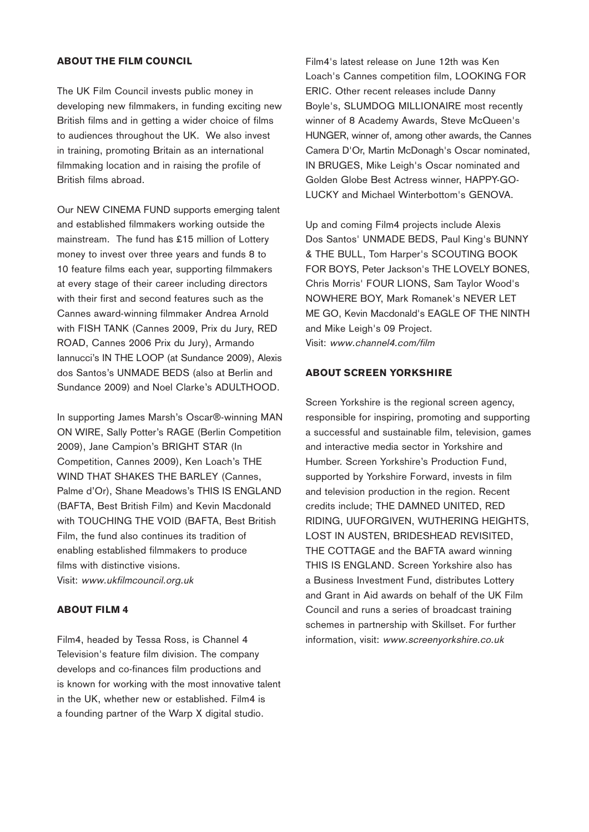#### **ABOUT THE FILM COUNCIL**

The UK Film Council invests public money in developing new filmmakers, in funding exciting new British films and in getting a wider choice of films to audiences throughout the UK. We also invest in training, promoting Britain as an international filmmaking location and in raising the profile of British films abroad.

Our NEW CINEMA FUND supports emerging talent and established filmmakers working outside the mainstream. The fund has £15 million of Lottery money to invest over three years and funds 8 to 10 feature films each year, supporting filmmakers at every stage of their career including directors with their first and second features such as the Cannes award-winning filmmaker Andrea Arnold with FISH TANK (Cannes 2009, Prix du Jury, RED ROAD, Cannes 2006 Prix du Jury), Armando Iannucci's IN THE LOOP (at Sundance 2009), Alexis dos Santos's UNMADE BEDS (also at Berlin and Sundance 2009) and Noel Clarke's ADULTHOOD.

In supporting James Marsh's Oscar®-winning MAN ON WIRE, Sally Potter's RAGE (Berlin Competition 2009), Jane Campion's BRIGHT STAR (In Competition, Cannes 2009), Ken Loach's THE WIND THAT SHAKES THE BARLEY (Cannes, Palme d'Or), Shane Meadows's THIS IS ENGLAND (BAFTA, Best British Film) and Kevin Macdonald with TOUCHING THE VOID (BAFTA, Best British Film, the fund also continues its tradition of enabling established filmmakers to produce films with distinctive visions. Visit: www.ukfilmcouncil.org.uk

#### **ABOUT FILM 4**

Film4, headed by Tessa Ross, is Channel 4 Television's feature film division. The company develops and co-finances film productions and is known for working with the most innovative talent in the UK, whether new or established. Film4 is a founding partner of the Warp X digital studio.

Film4's latest release on June 12th was Ken Loach's Cannes competition film, LOOKING FOR ERIC. Other recent releases include Danny Boyle's, SLUMDOG MILLIONAIRE most recently winner of 8 Academy Awards, Steve McQueen's HUNGER, winner of, among other awards, the Cannes Camera D'Or, Martin McDonagh's Oscar nominated, IN BRUGES, Mike Leigh's Oscar nominated and Golden Globe Best Actress winner, HAPPY-GO-LUCKY and Michael Winterbottom's GENOVA.

Up and coming Film4 projects include Alexis Dos Santos' UNMADE BEDS, Paul King's BUNNY & THE BULL, Tom Harper's SCOUTING BOOK FOR BOYS, Peter Jackson's THE LOVELY BONES, Chris Morris' FOUR LIONS, Sam Taylor Wood's NOWHERE BOY, Mark Romanek's NEVER LET ME GO, Kevin Macdonald's EAGLE OF THE NINTH and Mike Leigh's 09 Project. Visit: www.channel4.com/film

#### **ABOUT SCREEN YORKSHIRE**

Screen Yorkshire is the regional screen agency, responsible for inspiring, promoting and supporting a successful and sustainable film, television, games and interactive media sector in Yorkshire and Humber. Screen Yorkshire's Production Fund, supported by Yorkshire Forward, invests in film and television production in the region. Recent credits include; THE DAMNED UNITED, RED RIDING, UUFORGIVEN, WUTHERING HEIGHTS, LOST IN AUSTEN, BRIDESHEAD REVISITED, THE COTTAGE and the BAFTA award winning THIS IS ENGLAND. Screen Yorkshire also has a Business Investment Fund, distributes Lottery and Grant in Aid awards on behalf of the UK Film Council and runs a series of broadcast training schemes in partnership with Skillset. For further information, visit: www.screenyorkshire.co.uk